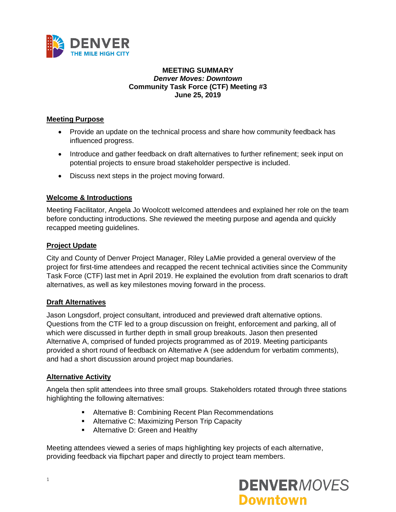

### **MEETING SUMMARY** *Denver Moves: Downtown* **Community Task Force (CTF) Meeting #3 June 25, 2019**

## **Meeting Purpose**

- Provide an update on the technical process and share how community feedback has influenced progress.
- Introduce and gather feedback on draft alternatives to further refinement; seek input on potential projects to ensure broad stakeholder perspective is included.
- Discuss next steps in the project moving forward.

### **Welcome & Introductions**

Meeting Facilitator, Angela Jo Woolcott welcomed attendees and explained her role on the team before conducting introductions. She reviewed the meeting purpose and agenda and quickly recapped meeting guidelines.

### **Project Update**

City and County of Denver Project Manager, Riley LaMie provided a general overview of the project for first-time attendees and recapped the recent technical activities since the Community Task Force (CTF) last met in April 2019. He explained the evolution from draft scenarios to draft alternatives, as well as key milestones moving forward in the process.

### **Draft Alternatives**

Jason Longsdorf, project consultant, introduced and previewed draft alternative options. Questions from the CTF led to a group discussion on freight, enforcement and parking, all of which were discussed in further depth in small group breakouts. Jason then presented Alternative A, comprised of funded projects programmed as of 2019. Meeting participants provided a short round of feedback on Alternative A (see addendum for verbatim comments), and had a short discussion around project map boundaries.

### **Alternative Activity**

Angela then split attendees into three small groups. Stakeholders rotated through three stations highlighting the following alternatives:

- **E** Alternative B: Combining Recent Plan Recommendations
- Alternative C: Maximizing Person Trip Capacity
- **E** Alternative D: Green and Healthy

Meeting attendees viewed a series of maps highlighting key projects of each alternative, providing feedback via flipchart paper and directly to project team members.

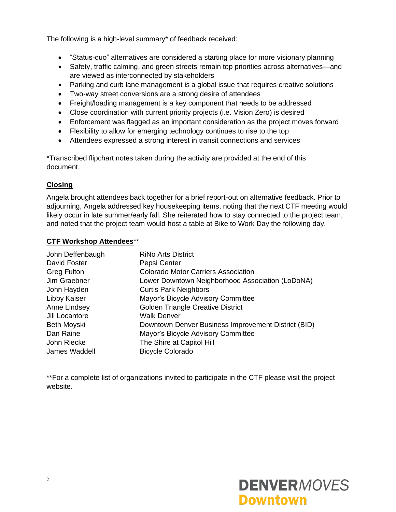The following is a high-level summary\* of feedback received:

- "Status-quo" alternatives are considered a starting place for more visionary planning
- Safety, traffic calming, and green streets remain top priorities across alternatives—and are viewed as interconnected by stakeholders
- Parking and curb lane management is a global issue that requires creative solutions
- Two-way street conversions are a strong desire of attendees
- Freight/loading management is a key component that needs to be addressed
- Close coordination with current priority projects (i.e. Vision Zero) is desired
- Enforcement was flagged as an important consideration as the project moves forward
- Flexibility to allow for emerging technology continues to rise to the top
- Attendees expressed a strong interest in transit connections and services

\*Transcribed flipchart notes taken during the activity are provided at the end of this document.

## **Closing**

Angela brought attendees back together for a brief report-out on alternative feedback. Prior to adjourning, Angela addressed key housekeeping items, noting that the next CTF meeting would likely occur in late summer/early fall. She reiterated how to stay connected to the project team, and noted that the project team would host a table at Bike to Work Day the following day.

## **CTF Workshop Attendees**\*\*

| John Deffenbaugh   | <b>RiNo Arts District</b>                           |
|--------------------|-----------------------------------------------------|
| David Foster       | Pepsi Center                                        |
| <b>Greg Fulton</b> | <b>Colorado Motor Carriers Association</b>          |
| Jim Graebner       | Lower Downtown Neighborhood Association (LoDoNA)    |
| John Hayden        | <b>Curtis Park Neighbors</b>                        |
| Libby Kaiser       | Mayor's Bicycle Advisory Committee                  |
| Anne Lindsey       | <b>Golden Triangle Creative District</b>            |
| Jill Locantore     | <b>Walk Denver</b>                                  |
| Beth Moyski        | Downtown Denver Business Improvement District (BID) |
| Dan Raine          | Mayor's Bicycle Advisory Committee                  |
| John Riecke        | The Shire at Capitol Hill                           |
| James Waddell      | <b>Bicycle Colorado</b>                             |

\*\*For a complete list of organizations invited to participate in the CTF please visit the project website.

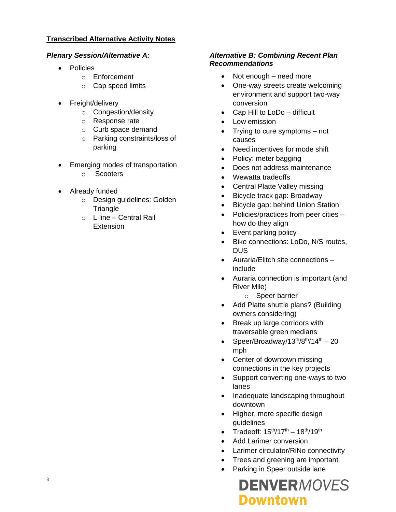## **Transcribed Alternative Activity Notes**

## *Plenary Session/Alternative A:*

- Policies
	- o Enforcement
	- o Cap speed limits
- Freight/delivery
	- o Congestion/density
	- o Response rate
	- o Curb space demand
	- o Parking constraints/loss of parking
- Emerging modes of transportation
	- o Scooters
- Already funded
	- o Design guidelines: Golden Triangle
	- o L line Central Rail **Extension**

## *Alternative B: Combining Recent Plan Recommendations*

- Not enough need more
- One-way streets create welcoming environment and support two-way conversion
- Cap Hill to LoDo difficult
- Low emission
- Trying to cure symptoms not causes
- Need incentives for mode shift
- Policy: meter bagging
- Does not address maintenance
- Wewatta tradeoffs
- Central Platte Valley missing
- Bicycle track gap: Broadway
- Bicycle gap: behind Union Station
- Policies/practices from peer cities how do they align
- Event parking policy
- Bike connections: LoDo, N/S routes, DUS
- Auraria/Elitch site connections include
- Auraria connection is important (and River Mile)
	- o Speer barrier
- Add Platte shuttle plans? (Building owners considering)
- Break up large corridors with traversable green medians
- Speer/Broadway/13<sup>th</sup>/8<sup>th</sup>/14<sup>th</sup> 20 mph
- Center of downtown missing connections in the key projects
- Support converting one-ways to two lanes
- Inadequate landscaping throughout downtown
- Higher, more specific design guidelines
- Tradeoff:  $15^{th}/17^{th} 18^{th}/19^{th}$
- Add Larimer conversion
- Larimer circulator/RiNo connectivity
- Trees and greening are important
- Parking in Speer outside lane

# **DENVERMOVES Downtown**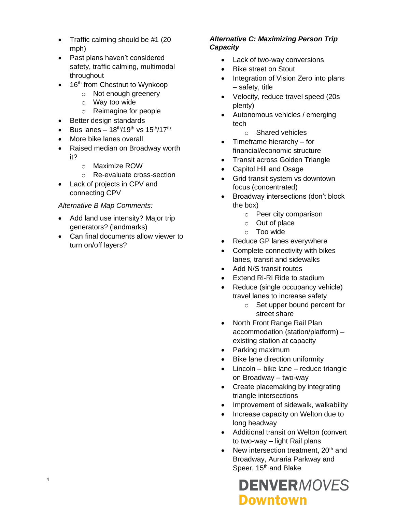- Traffic calming should be #1 (20 mph)
- Past plans haven't considered safety, traffic calming, multimodal throughout
- $\bullet$  16<sup>th</sup> from Chestnut to Wynkoop
	- o Not enough greenery
	- o Way too wide
	- o Reimagine for people
- Better design standards
- Bus lanes  $18^{th}/19^{th}$  vs  $15^{th}/17^{th}$
- More bike lanes overall
- Raised median on Broadway worth it?
	- o Maximize ROW
	- o Re-evaluate cross-section
- Lack of projects in CPV and connecting CPV

## *Alternative B Map Comments:*

- Add land use intensity? Major trip generators? (landmarks)
- Can final documents allow viewer to turn on/off layers?

## *Alternative C: Maximizing Person Trip Capacity*

- Lack of two-way conversions
- Bike street on Stout
- Integration of Vision Zero into plans – safety, title
- Velocity, reduce travel speed (20s plenty)
- Autonomous vehicles / emerging tech
	- o Shared vehicles
- Timeframe hierarchy for financial/economic structure
- Transit across Golden Triangle
- Capitol Hill and Osage
- Grid transit system vs downtown focus (concentrated)
- Broadway intersections (don't block the box)
	- o Peer city comparison
	- o Out of place
	- o Too wide
- Reduce GP lanes everywhere
- Complete connectivity with bikes lanes, transit and sidewalks
- Add N/S transit routes
- Extend Ri-Ri Ride to stadium
- Reduce (single occupancy vehicle) travel lanes to increase safety
	- o Set upper bound percent for street share
- North Front Range Rail Plan accommodation (station/platform) – existing station at capacity
- Parking maximum
- Bike lane direction uniformity
- Lincoln bike lane reduce triangle on Broadway – two-way
- Create placemaking by integrating triangle intersections
- Improvement of sidewalk, walkability
- Increase capacity on Welton due to long headway
- Additional transit on Welton (convert to two-way – light Rail plans
- New intersection treatment,  $20<sup>th</sup>$  and Broadway, Auraria Parkway and Speer, 15<sup>th</sup> and Blake

## **DENVERMOVES Downtown**